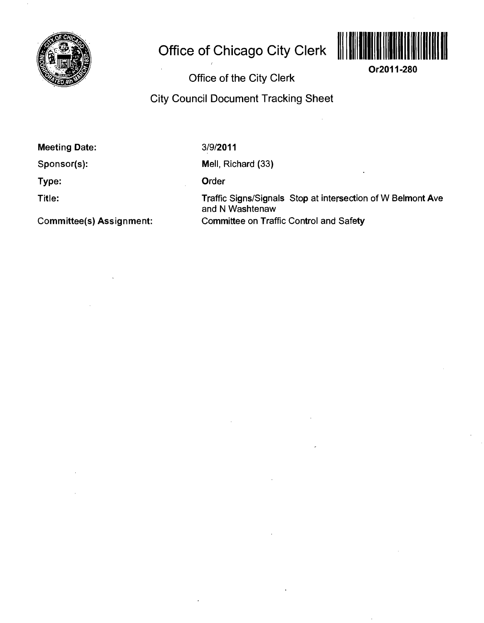

# **Office of Chicago City Clerk**



**Or2011-280** 

**Office of the City Clerk** 

**City Council Document Tracking Sheet** 

**Meeting Date:** 

**Sponsor(s):** 

**Type:** 

**Title:** 

**Committee(s) Assignment:** 

3/9/2011

Mell, Richard (33)

Order

Traffic Signs/Signals Stop at intersection of W Belmont Ave and N Washtenaw Committee on Traffic Control and Safety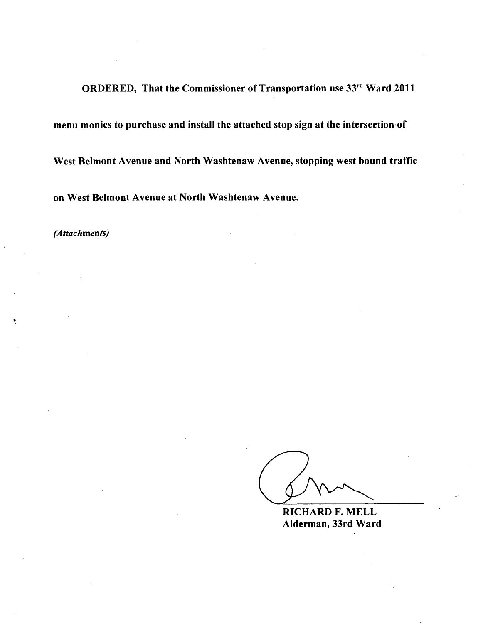**ORDERED, That the Commissioner of Transportation use 33rd Ward 2011** 

*menu monies to purchase and install the attached stop sign at the intersection of* 

*West Belmont Avenue and North Washtenaw Avenue, stopping west bound traffic* 

*on West Belmont Avenue at North Washtenaw Avenue.* 

*(Attachments)* 

**RICHARD F. MELL Alderman, 33rd Ward**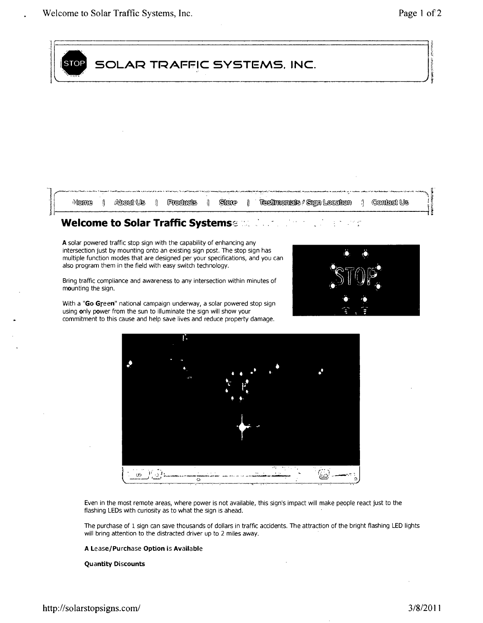| <b>STOP</b> | SOLAR TRAFFIC SYSTEMS, INC. |  |  |  |  |  |  |  |
|-------------|-----------------------------|--|--|--|--|--|--|--|
|             |                             |  |  |  |  |  |  |  |
|             |                             |  |  |  |  |  |  |  |
|             |                             |  |  |  |  |  |  |  |
|             |                             |  |  |  |  |  |  |  |

also program them in the field with easy switch technology. Bring traffic compliance and awareness to any intersection within minutes of mounting the sign.

multiple function modes that are designed per your specifications, and you can

With a "Go Green" national campaign underway, a solar powered stop sign using only power from the sun to illuminate the sign will show your commitment to this cause and help save lives and reduce property damage.





Even in the most remote areas, where power is not available, this sign's impact will make people react just to the flashing LEDs with curiosity as to what the sign is ahead.

The purchase of 1 sign can save thousands of dollars in traffic accidents. The attraction of the bright flashing LED lights will bring attention to the distracted driver up to 2 miles away.

#### A Lease/Purchase Option is Available

#### Quantity Discounts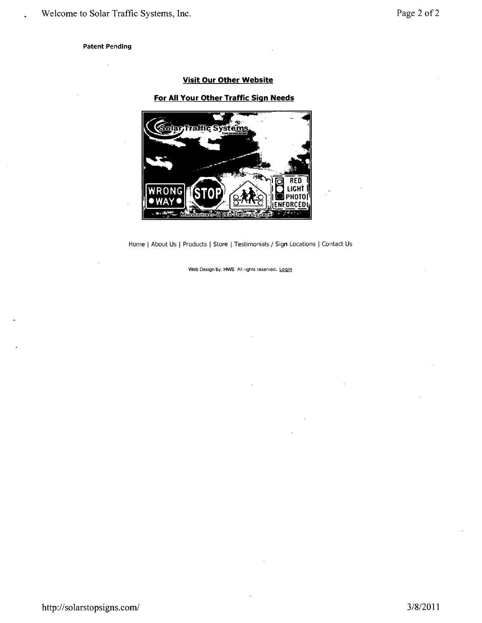### **Patent Pending**

# **Visit Our Other Website**

## **For All Your Other Traffic Sign Needs**



Home | About Us | Products | Store | Testimonials / Sign Locations | Contact Us

Web Design by: HWS All rights reserved. Login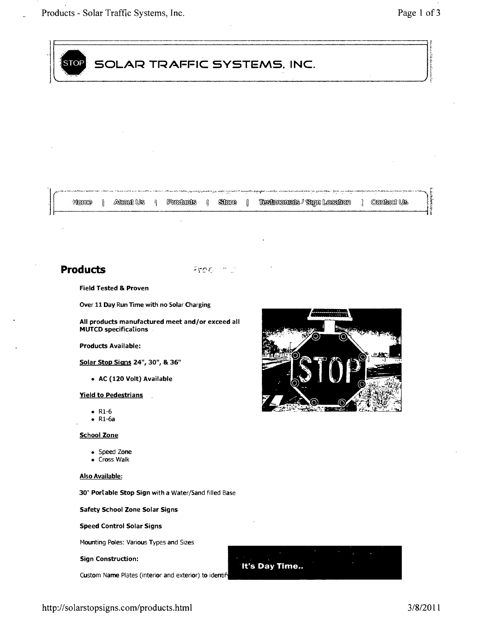

# Products and the state of the state of the state of the state of the state of the state of the state of the state of the state of the state of the state of the state of the state of the state of the state of the state of t

#### Field Tested & Proven

Over 11 Day Run Time with no Solar Charging

All products manufactured meet and/or exceed all MUTCD specifications

#### Products Available:

#### Solar Stop Signs 24", 30", & 36"

• AC (120 Volt) Available

#### **Yield to Pedestrians**

- R1-6<br>• R1-6a
- 

#### **School Zone**

- Speed Zone
- $\bullet$  Cross Walk

#### Also Available:

30" Portable Stop Sign with a Water/Sand filled Base

Safety School Zone Solar Signs

Speed Control Solar Signs

Mounting Poles: Various Types and Sizes

Sign Construction:

Custom Name Plates (interior and exterior) to identify



# **It's Day Time..**

http://solarstopsigns.com/products.html 3/8/2011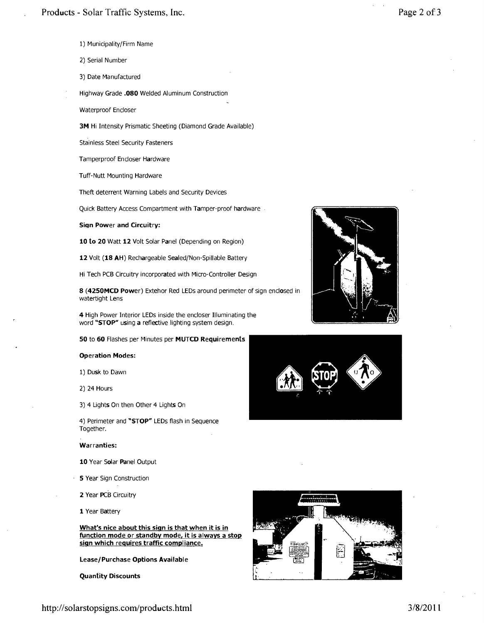- 1) Municipality/Firm Name
- 2) Serial Number
- 3) Date Manufactured
- Highway Grade .080 Welded Aluminum Construction

Waterproof Encloser

3M Hi Intensity Prismatic Sheeting (Diamond Grade Available)

Stainless Steel Security Fasteners

Tamperproof Encloser Hardware

Tuff-Nutt Mounting Hardware

Theft deterrent Warning Labels and Security Devices

Quick Battery Access Compartment with Tamper-proof hardware

**Sign Power and Circuitry:** 

10 to 20 Watt 12 Volt Solar Panel (Depending on Region)

12 Volt (18 AH) Rechargeable Sealed/Non-Spillable Battery

Hi Tech PCB Circuitry incorporated with Micro-Controller Design

8 (4250MCD Power) Extehor Red LEDs around perimeter of sign enclosed in watertight Lens

4 High Power Interior LEDs inside the encloser Illuminating the word "STOP" using a reflective lighting system design.

**50 to 60 Flashes per Minutes per MUTCD Requirements** 

#### **Operation Modes:**

1) Dusk to Dawn

2) 24 Hours

3) 4 Lights On then Other 4 Lights On

4) Perimeter and "STOP" LEDs flash in Sequence Together.

#### **Warranties:**

10 Year Solar Panel Output

- **5 Year Sign Construction**
- 2 Year PCB Circuitry

1 Year Battery

#### **What's nice about this sign is that when it is in function mode or standby mode, it is always a stop sign which reguires traffic compliance.**

**Lease/Purchase Options Available** 

**Quantity Discounts**